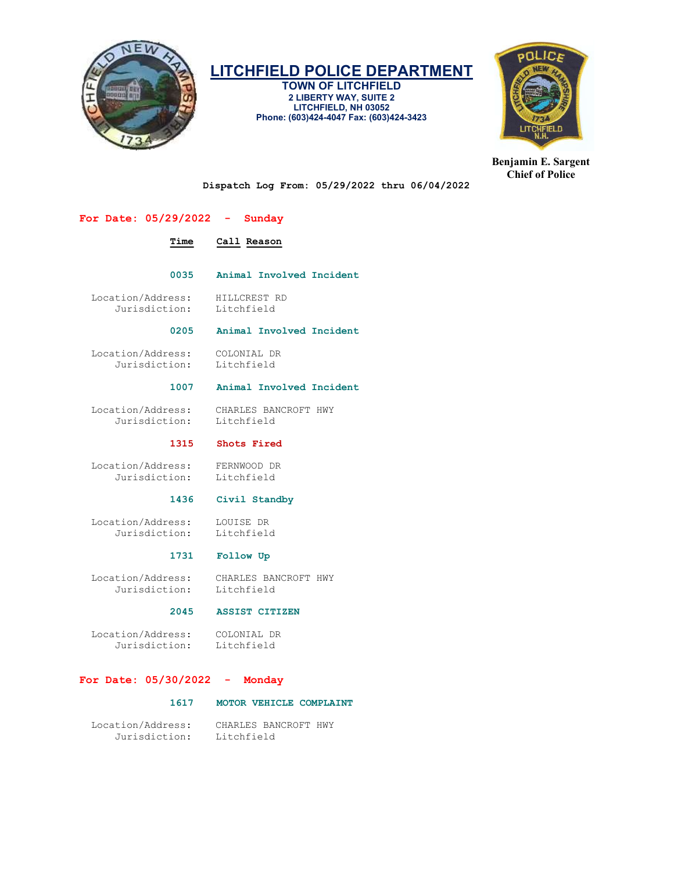

TOWN OF LITCHFIELD 2 LIBERTY WAY, SUITE 2 LITCHFIELD, NH 03052 Phone: (603)424-4047 Fax: (603)424-3423



Benjamin E. Sargent Chief of Police

Dispatch Log From: 05/29/2022 thru 06/04/2022

# For Date: 05/29/2022 - Sunday

# Time Call Reason

0035 Animal Involved Incident

Location/Address: HILLCREST RD<br>Jurisdiction: Litchfield Jurisdiction:

### 0205 Animal Involved Incident

 Location/Address: COLONIAL DR Jurisdiction:

# 1007 Animal Involved Incident

 Location/Address: CHARLES BANCROFT HWY Jurisdiction: Litchfield

### 1315 Shots Fired

 Location/Address: FERNWOOD DR Jurisdiction:

### 1436 Civil Standby

 Location/Address: LOUISE DR Jurisdiction:

## 1731 Follow Up

 Location/Address: CHARLES BANCROFT HWY Jurisdiction:

# 2045 ASSIST CITIZEN

 Location/Address: COLONIAL DR Jurisdiction:

# For Date: 05/30/2022 - Monday

## 1617 MOTOR VEHICLE COMPLAINT

 Location/Address: CHARLES BANCROFT HWY Jurisdiction: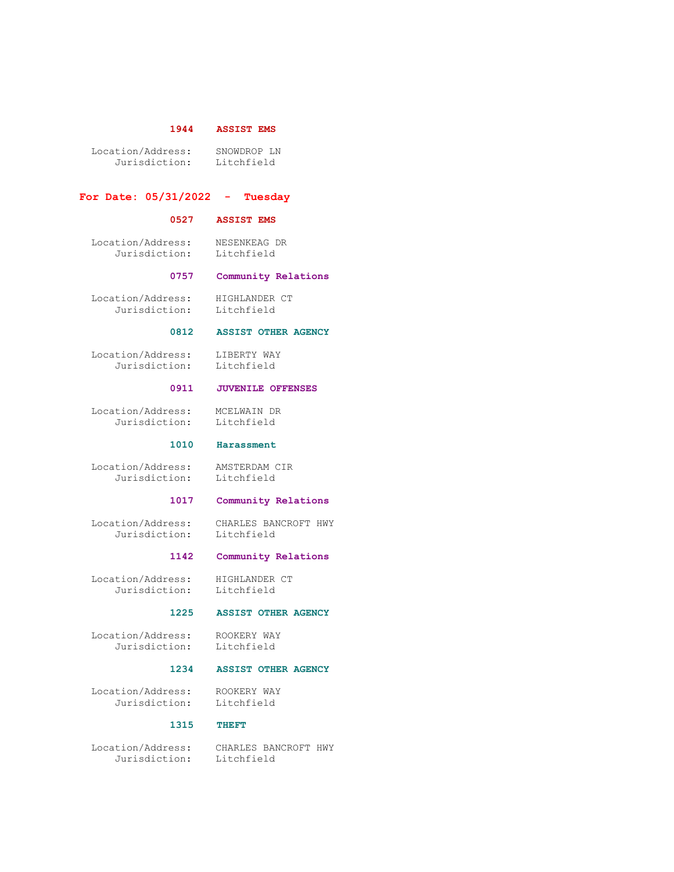## 1944 ASSIST EMS

 Location/Address: SNOWDROP LN Jurisdiction: Litchfield

### For Date: 05/31/2022 - Tuesday

### 0527 ASSIST EMS

 Location/Address: NESENKEAG DR Jurisdiction: Litchfield

### 0757 Community Relations

 Location/Address: HIGHLANDER CT Jurisdiction: Litchfield

### 0812 ASSIST OTHER AGENCY

 Location/Address: LIBERTY WAY Jurisdiction: Litchfield

# 0911 JUVENILE OFFENSES

 Location/Address: MCELWAIN DR Jurisdiction: Litchfield

### 1010 Harassment

 Location/Address: AMSTERDAM CIR Jurisdiction: Litchfield

### 1017 Community Relations

 Location/Address: CHARLES BANCROFT HWY Jurisdiction: Litchfield

## 1142 Community Relations

 Location/Address: HIGHLANDER CT Jurisdiction: Litchfield

### 1225 ASSIST OTHER AGENCY

 Location/Address: ROOKERY WAY Jurisdiction: Litchfield

### 1234 ASSIST OTHER AGENCY

 Location/Address: ROOKERY WAY Jurisdiction:

### 1315 THEFT

Jurisdiction: Litchfield

Location/Address: CHARLES BANCROFT HWY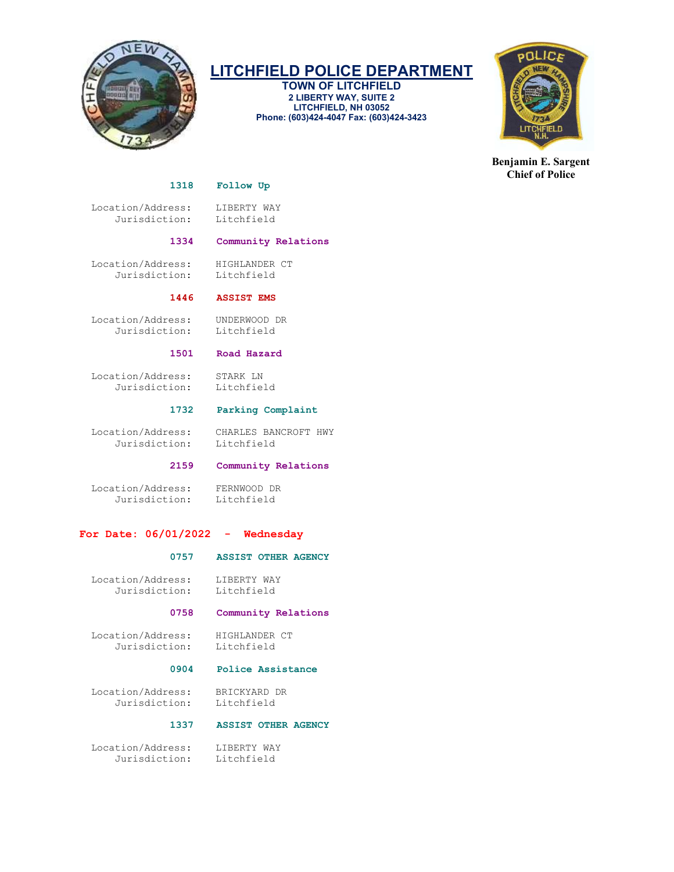

TOWN OF LITCHFIELD 2 LIBERTY WAY, SUITE 2 LITCHFIELD, NH 03052 Phone: (603)424-4047 Fax: (603)424-3423



Benjamin E. Sargent Chief of Police

### 1318 Follow Up

Location/Address: LIBERTY WAY<br>Jurisdiction: Litchfield Jurisdiction:

# 1334 Community Relations

 Location/Address: HIGHLANDER CT Jurisdiction: Litchfield

1446 ASSIST EMS

 Location/Address: UNDERWOOD DR Jurisdiction: Litchfield

### 1501 Road Hazard

Location/Address: STARK LN<br>Jurisdiction: Litchfield Jurisdiction:

### 1732 Parking Complaint

 Location/Address: CHARLES BANCROFT HWY Jurisdiction:

## 2159 Community Relations

 Location/Address: FERNWOOD DR Jurisdiction: Litchfield

# For Date: 06/01/2022 - Wednesday

### 0757 ASSIST OTHER AGENCY

Location/Address: LIBERTY WAY<br>Jurisdiction: Litchfield Jurisdiction:

### 0758 Community Relations

 Location/Address: HIGHLANDER CT Jurisdiction:

### 0904 Police Assistance

 Location/Address: BRICKYARD DR Jurisdiction: Litchfield

# 1337 ASSIST OTHER AGENCY

 Location/Address: LIBERTY WAY Jurisdiction: Litchfield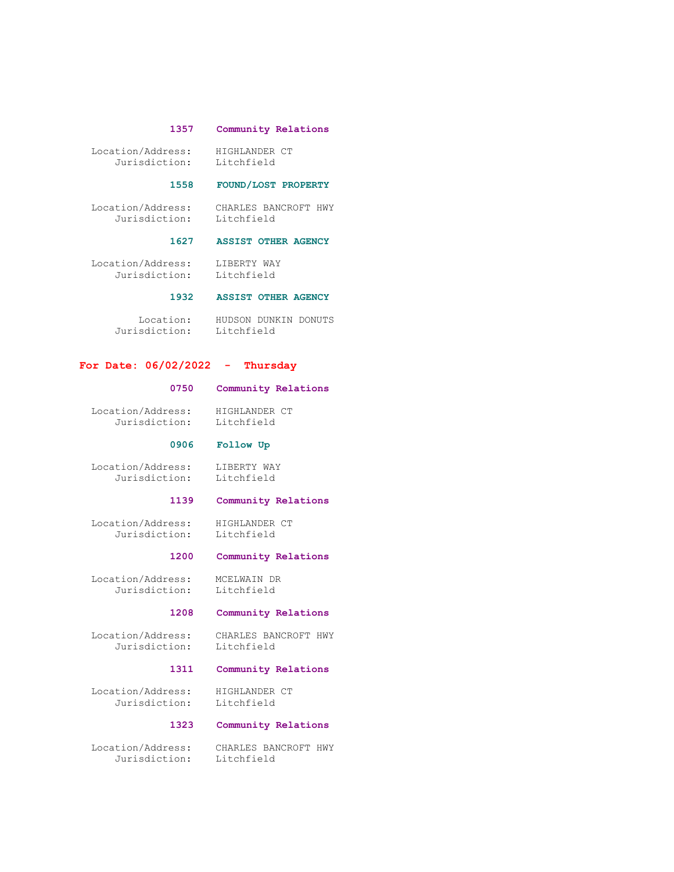### 1357 Community Relations

 Location/Address: HIGHLANDER CT Jurisdiction: Litchfield

### 1558 FOUND/LOST PROPERTY

 Location/Address: CHARLES BANCROFT HWY Jurisdiction: Litchfield

### 1627 ASSIST OTHER AGENCY

 Location/Address: LIBERTY WAY Jurisdiction: Litchfield

## 1932 ASSIST OTHER AGENCY

 Location: HUDSON DUNKIN DONUTS Jurisdiction: Litchfield

### For Date: 06/02/2022 - Thursday

# 0750 Community Relations

 Location/Address: HIGHLANDER CT Jurisdiction: Litchfield

### 0906 Follow Up

 Location/Address: LIBERTY WAY Jurisdiction: Litchfield

### 1139 Community Relations

 Location/Address: HIGHLANDER CT Jurisdiction:

# 1200 Community Relations

 Location/Address: MCELWAIN DR Jurisdiction: Litchfield

# 1208 Community Relations

 Location/Address: CHARLES BANCROFT HWY Jurisdiction: Litchfield

# 1311 Community Relations

Location/Address: HIGHLANDER CT<br>Jurisdiction: Litchfield Jurisdiction:

### 1323 Community Relations

 Location/Address: CHARLES BANCROFT HWY Jurisdiction: Litchfield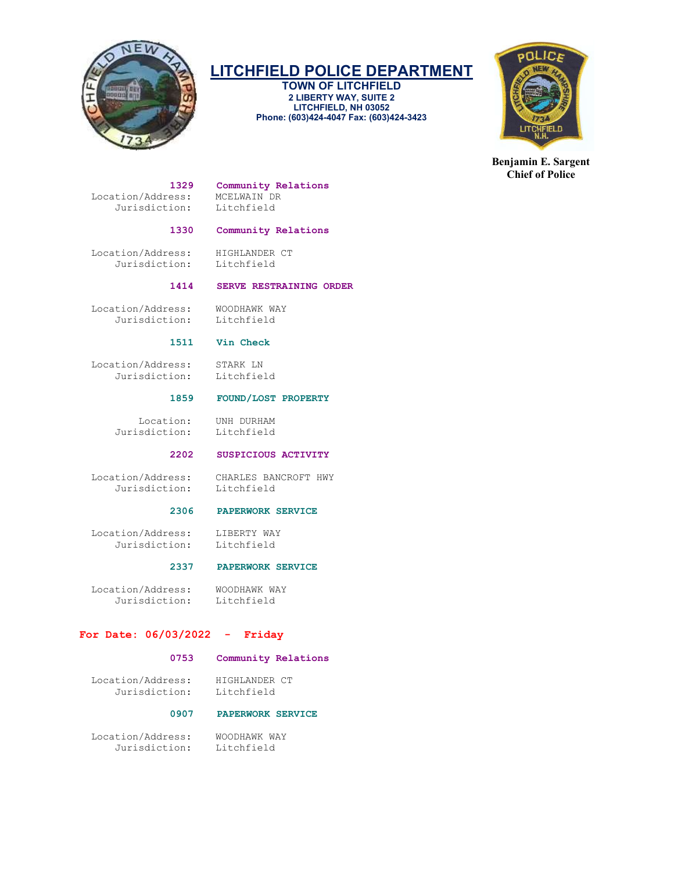

TOWN OF LITCHFIELD 2 LIBERTY WAY, SUITE 2 LITCHFIELD, NH 03052 Phone: (603)424-4047 Fax: (603)424-3423



Benjamin E. Sargent Chief of Police

Location/Address: MCELWAIN DR<br>Jurisdiction: Litchfield Jurisdiction:

# 1329 Community Relations<br>ress: MCELWAIN DR

# 1330 Community Relations

 Location/Address: HIGHLANDER CT Jurisdiction: Litchfield

# 1414 SERVE RESTRAINING ORDER

Location/Address: WOODHAWK WAY<br>Jurisdiction: Litchfield Jurisdiction:

### 1511 Vin Check

Location/Address: STARK LN<br>Jurisdiction: Litchfield Jurisdiction:

# 1859 FOUND/LOST PROPERTY

 Location: UNH DURHAM Jurisdiction: Litchfield

# 2202 SUSPICIOUS ACTIVITY

Jurisdiction: Litchfield

Location/Address: CHARLES BANCROFT HWY

# 2306 PAPERWORK SERVICE

Location/Address: LIBERTY WAY<br>Jurisdiction: Litchfield Jurisdiction:

# 2337 PAPERWORK SERVICE

Location/Address: WOODHAWK WAY<br>Jurisdiction: Litchfield Jurisdiction:

# For Date: 06/03/2022 - Friday

# 0753 Community Relations

 Location/Address: HIGHLANDER CT Jurisdiction: Litchfield

# 0907 PAPERWORK SERVICE

 Location/Address: WOODHAWK WAY Jurisdiction: Litchfield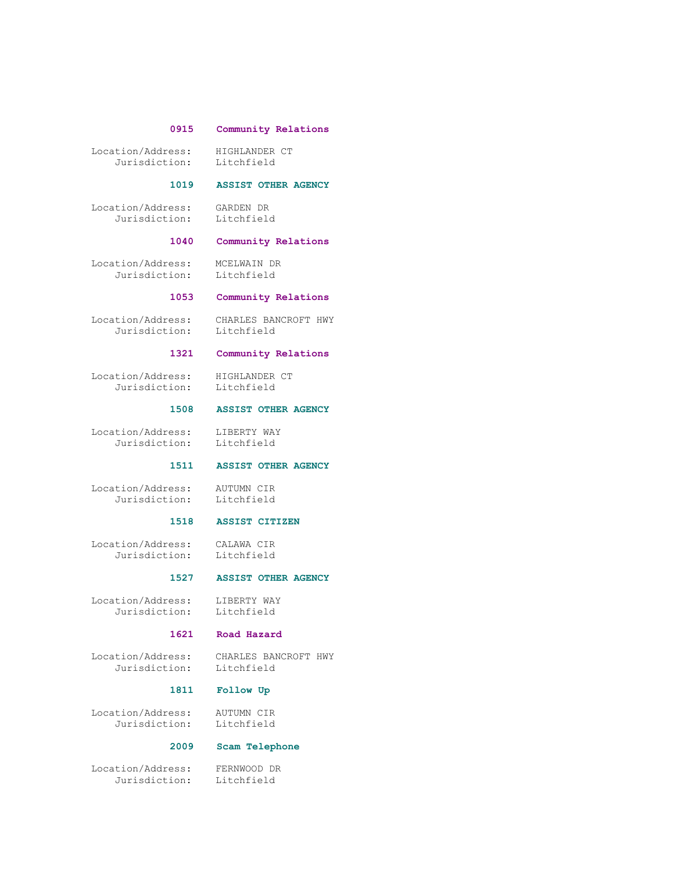### 0915 Community Relations

Location/Address: HIGHLANDER CT<br>Jurisdiction: Litchfield Jurisdiction:

### 1019 ASSIST OTHER AGENCY

 Location/Address: GARDEN DR Jurisdiction: Litchfield

# 1040 Community Relations

 Location/Address: MCELWAIN DR Jurisdiction: Litchfield

## 1053 Community Relations

 Location/Address: CHARLES BANCROFT HWY Jurisdiction: Litchfield

### 1321 Community Relations

Location/Address: HIGHLANDER CT<br>Jurisdiction: Litchfield Jurisdiction:

### 1508 ASSIST OTHER AGENCY

 Location/Address: LIBERTY WAY Jurisdiction: Litchfield

# 1511 ASSIST OTHER AGENCY

 Location/Address: AUTUMN CIR Jurisdiction: Litchfield

### 1518 ASSIST CITIZEN

 Location/Address: CALAWA CIR Jurisdiction: Litchfield

## 1527 ASSIST OTHER AGENCY

Location/Address: LIBERTY WAY<br>Jurisdiction: Litchfield Jurisdiction:

### 1621 Road Hazard

Location/Address: CHARLES BANCROFT HWY

Litchfield

## 1811 Follow Up

 Location/Address: AUTUMN CIR Jurisdiction: Litchfield

### 2009 Scam Telephone

 Location/Address: FERNWOOD DR Jurisdiction: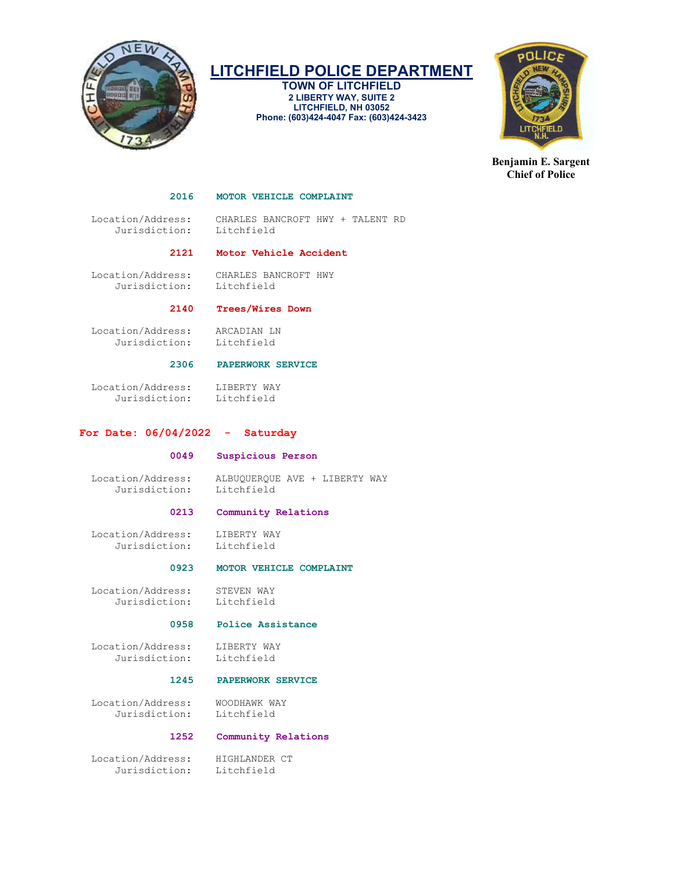

TOWN OF LITCHFIELD 2 LIBERTY WAY, SUITE 2 LITCHFIELD, NH 03052 Phone: (603)424-4047 Fax: (603)424-3423



Benjamin E. Sargent Chief of Police

### 2016 MOTOR VEHICLE COMPLAINT

 Location/Address: CHARLES BANCROFT HWY + TALENT RD Jurisdiction:

## 2121 Motor Vehicle Accident

 Location/Address: CHARLES BANCROFT HWY Jurisdiction:

# 2140 Trees/Wires Down

 Location/Address: ARCADIAN LN Jurisdiction: Litchfield

# 2306 PAPERWORK SERVICE

Location/Address: LIBERTY WAY<br>Jurisdiction: Litchfield Jurisdiction:

### For Date: 06/04/2022 - Saturday

### 0049 Suspicious Person

Jurisdiction:

Location/Address: ALBUQUERQUE AVE + LIBERTY WAY

### 0213 Community Relations

 Location/Address: LIBERTY WAY Jurisdiction: Litchfield

### 0923 MOTOR VEHICLE COMPLAINT

Location/Address: STEVEN WAY<br>Jurisdiction: Litchfield Jurisdiction:

### 0958 Police Assistance

Location/Address: LIBERTY WAY<br>Jurisdiction: Litchfield Jurisdiction:

# 1245 PAPERWORK SERVICE

Location/Address: WOODHAWK WAY<br>Jurisdiction: Litchfield Jurisdiction:

### 1252 Community Relations

Location/Address: HIGHLANDER CT<br>Jurisdiction: Litchfield Jurisdiction: